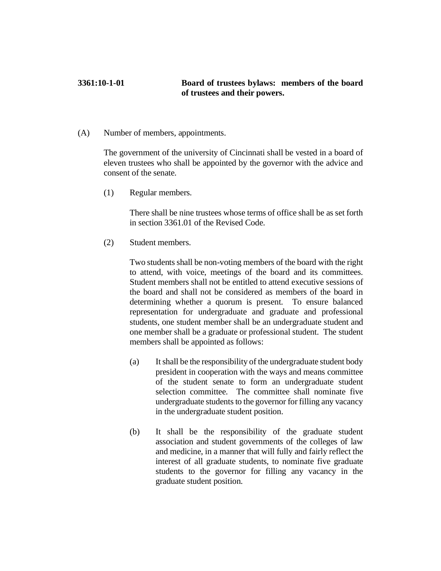## **3361:10-1-01 Board of trustees bylaws: members of the board of trustees and their powers.**

(A) Number of members, appointments.

The government of the university of Cincinnati shall be vested in a board of eleven trustees who shall be appointed by the governor with the advice and consent of the senate.

(1) Regular members.

There shall be nine trustees whose terms of office shall be as set forth in section 3361.01 of the Revised Code.

(2) Student members.

Two students shall be non-voting members of the board with the right to attend, with voice, meetings of the board and its committees. Student members shall not be entitled to attend executive sessions of the board and shall not be considered as members of the board in determining whether a quorum is present. To ensure balanced representation for undergraduate and graduate and professional students, one student member shall be an undergraduate student and one member shall be a graduate or professional student. The student members shall be appointed as follows:

- (a) It shall be the responsibility of the undergraduate student body president in cooperation with the ways and means committee of the student senate to form an undergraduate student selection committee. The committee shall nominate five undergraduate students to the governor for filling any vacancy in the undergraduate student position.
- (b) It shall be the responsibility of the graduate student association and student governments of the colleges of law and medicine, in a manner that will fully and fairly reflect the interest of all graduate students, to nominate five graduate students to the governor for filling any vacancy in the graduate student position.